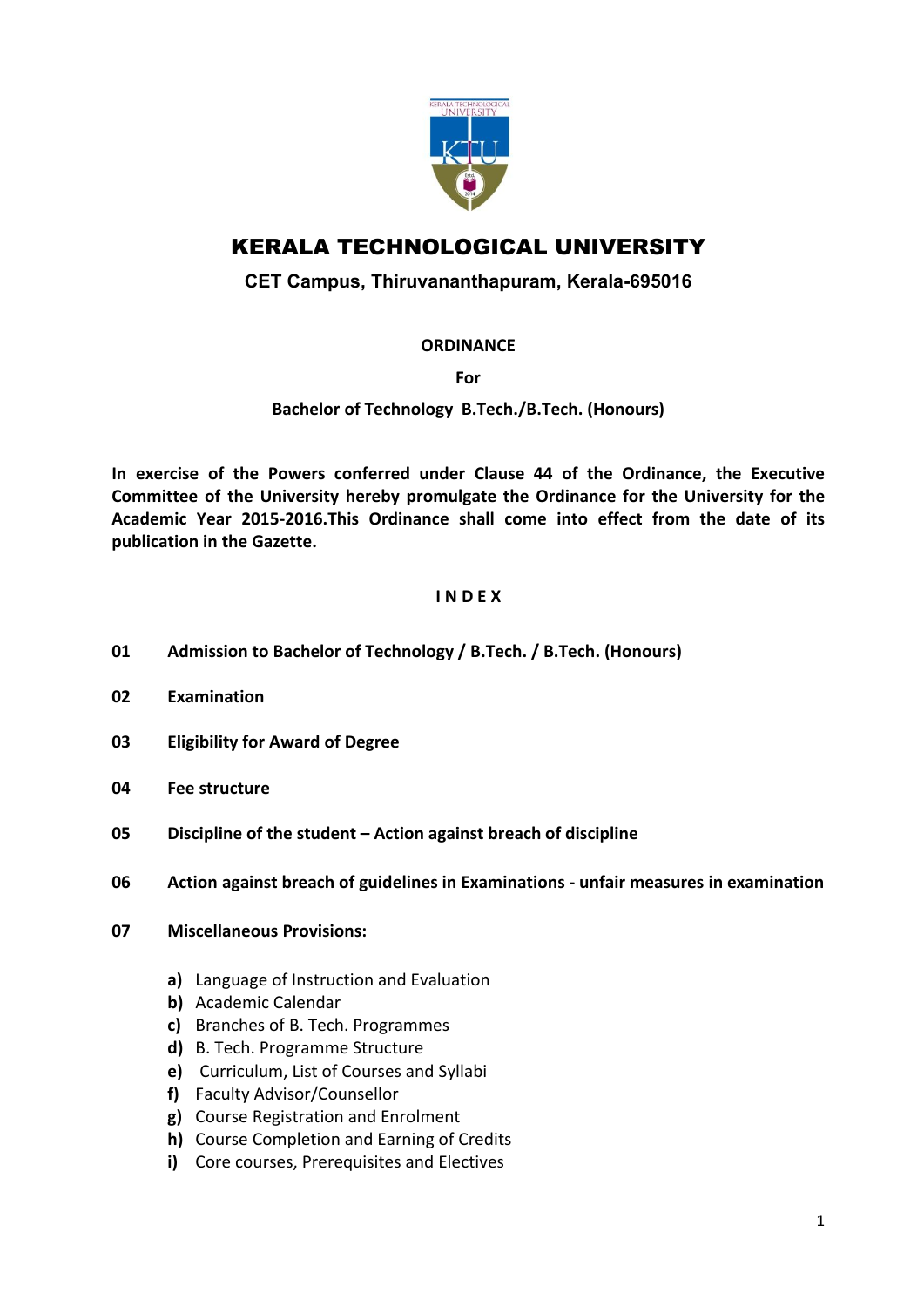

# KERALA TECHNOLOGICAL UNIVERSITY

# CET Campus, Thiruvananthapuram, Kerala-695016

### **ORDINANCE**

For

# Bachelor of Technology B.Tech./B.Tech. (Honours)

In exercise of the Powers conferred under Clause 44 of the Ordinance, the Executive Committee of the University hereby promulgate the Ordinance for the University for the Academic Year 2015-2016.This Ordinance shall come into effect from the date of its publication in the Gazette.

### I N D E X

- 01 Admission to Bachelor of Technology / B.Tech. / B.Tech. (Honours)
- 02 Examination
- 03 Eligibility for Award of Degree
- 04 Fee structure
- 05 Discipline of the student Action against breach of discipline
- 06 Action against breach of guidelines in Examinations unfair measures in examination
- 07 Miscellaneous Provisions:
	- a) Language of Instruction and Evaluation
	- b) Academic Calendar
	- c) Branches of B. Tech. Programmes
	- d) B. Tech. Programme Structure
	- e) Curriculum, List of Courses and Syllabi
	- f) Faculty Advisor/Counsellor
	- g) Course Registration and Enrolment
	- h) Course Completion and Earning of Credits
	- i) Core courses, Prerequisites and Electives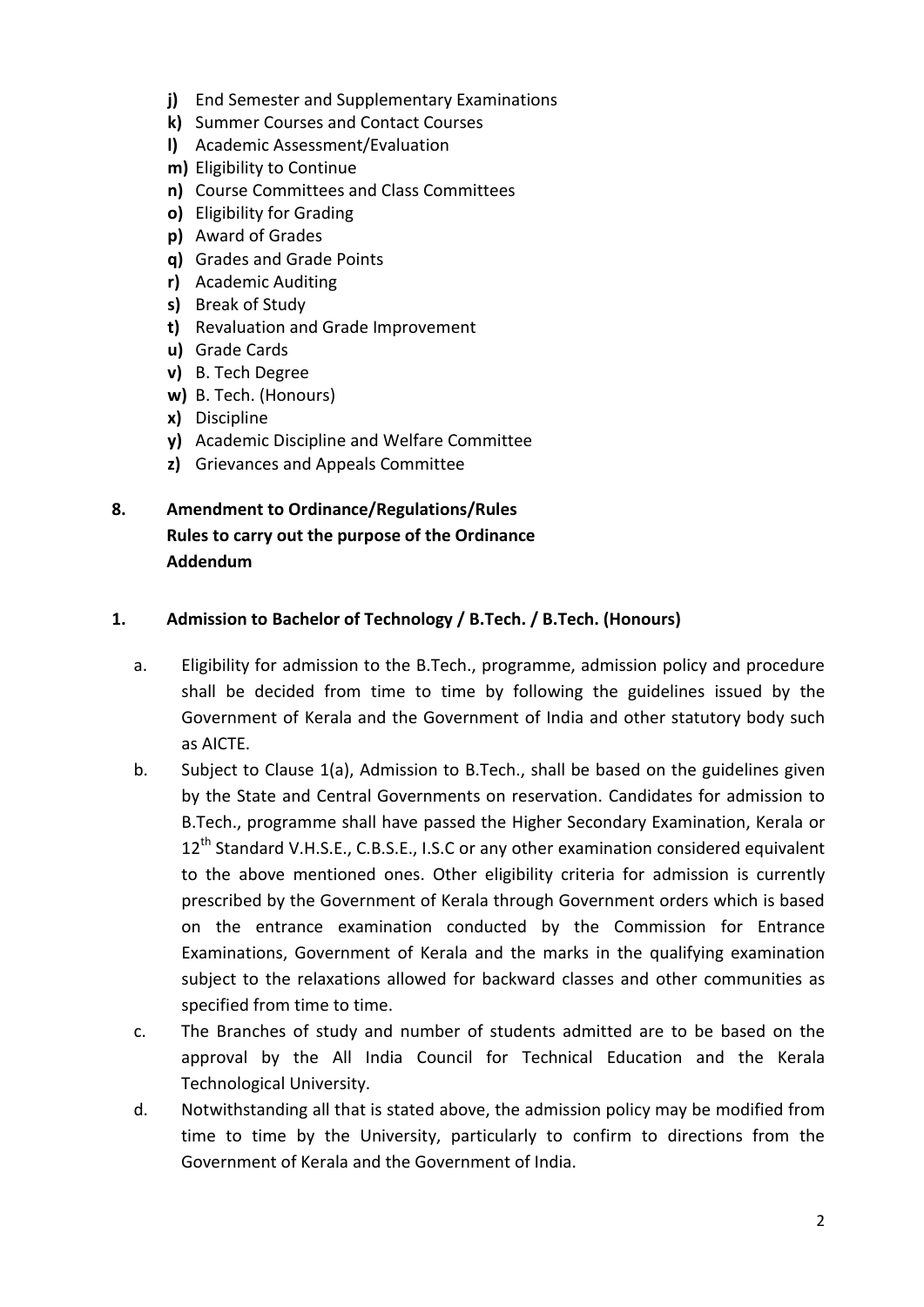- j) End Semester and Supplementary Examinations
- k) Summer Courses and Contact Courses
- l) Academic Assessment/Evaluation
- m) Eligibility to Continue
- n) Course Committees and Class Committees
- o) Eligibility for Grading
- p) Award of Grades
- q) Grades and Grade Points
- r) Academic Auditing
- s) Break of Study
- t) Revaluation and Grade Improvement
- u) Grade Cards
- v) B. Tech Degree
- w) B. Tech. (Honours)
- x) Discipline
- y) Academic Discipline and Welfare Committee
- z) Grievances and Appeals Committee
- 8. Amendment to Ordinance/Regulations/Rules Rules to carry out the purpose of the Ordinance Addendum

#### 1. Admission to Bachelor of Technology / B.Tech. / B.Tech. (Honours)

- a. Eligibility for admission to the B.Tech., programme, admission policy and procedure shall be decided from time to time by following the guidelines issued by the Government of Kerala and the Government of India and other statutory body such as AICTE.
- b. Subject to Clause 1(a), Admission to B.Tech., shall be based on the guidelines given by the State and Central Governments on reservation. Candidates for admission to B.Tech., programme shall have passed the Higher Secondary Examination, Kerala or 12<sup>th</sup> Standard V.H.S.E., C.B.S.E., I.S.C or any other examination considered equivalent to the above mentioned ones. Other eligibility criteria for admission is currently prescribed by the Government of Kerala through Government orders which is based on the entrance examination conducted by the Commission for Entrance Examinations, Government of Kerala and the marks in the qualifying examination subject to the relaxations allowed for backward classes and other communities as specified from time to time.
- c. The Branches of study and number of students admitted are to be based on the approval by the All India Council for Technical Education and the Kerala Technological University.
- d. Notwithstanding all that is stated above, the admission policy may be modified from time to time by the University, particularly to confirm to directions from the Government of Kerala and the Government of India.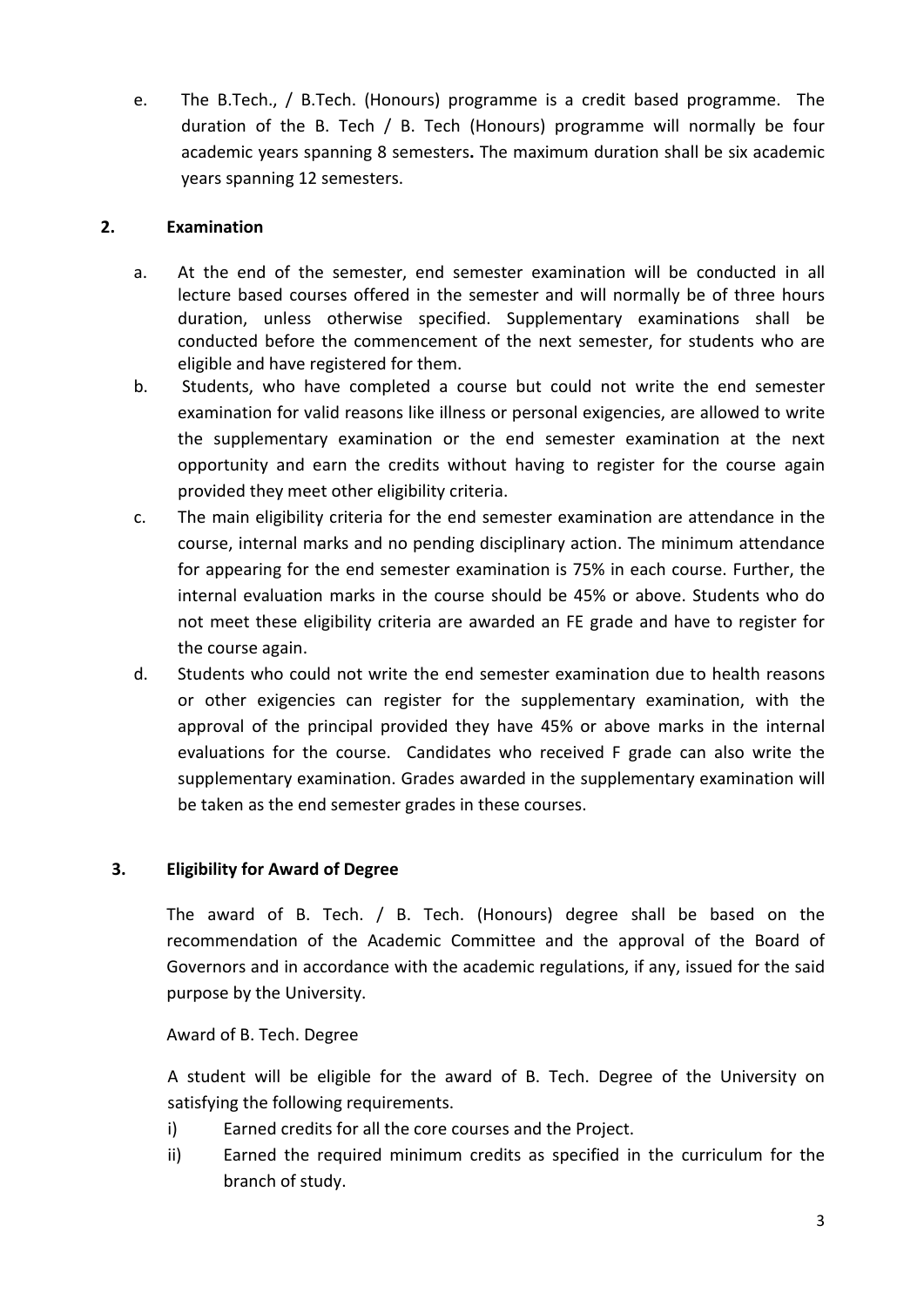e. The B.Tech., / B.Tech. (Honours) programme is a credit based programme. The duration of the B. Tech / B. Tech (Honours) programme will normally be four academic years spanning 8 semesters. The maximum duration shall be six academic years spanning 12 semesters.

## 2. Examination

- a. At the end of the semester, end semester examination will be conducted in all lecture based courses offered in the semester and will normally be of three hours duration, unless otherwise specified. Supplementary examinations shall be conducted before the commencement of the next semester, for students who are eligible and have registered for them.
- b. Students, who have completed a course but could not write the end semester examination for valid reasons like illness or personal exigencies, are allowed to write the supplementary examination or the end semester examination at the next opportunity and earn the credits without having to register for the course again provided they meet other eligibility criteria.
- c. The main eligibility criteria for the end semester examination are attendance in the course, internal marks and no pending disciplinary action. The minimum attendance for appearing for the end semester examination is 75% in each course. Further, the internal evaluation marks in the course should be 45% or above. Students who do not meet these eligibility criteria are awarded an FE grade and have to register for the course again.
- d. Students who could not write the end semester examination due to health reasons or other exigencies can register for the supplementary examination, with the approval of the principal provided they have 45% or above marks in the internal evaluations for the course. Candidates who received F grade can also write the supplementary examination. Grades awarded in the supplementary examination will be taken as the end semester grades in these courses.

# 3. Eligibility for Award of Degree

The award of B. Tech. / B. Tech. (Honours) degree shall be based on the recommendation of the Academic Committee and the approval of the Board of Governors and in accordance with the academic regulations, if any, issued for the said purpose by the University.

Award of B. Tech. Degree

A student will be eligible for the award of B. Tech. Degree of the University on satisfying the following requirements.

- i) Earned credits for all the core courses and the Project.
- ii) Earned the required minimum credits as specified in the curriculum for the branch of study.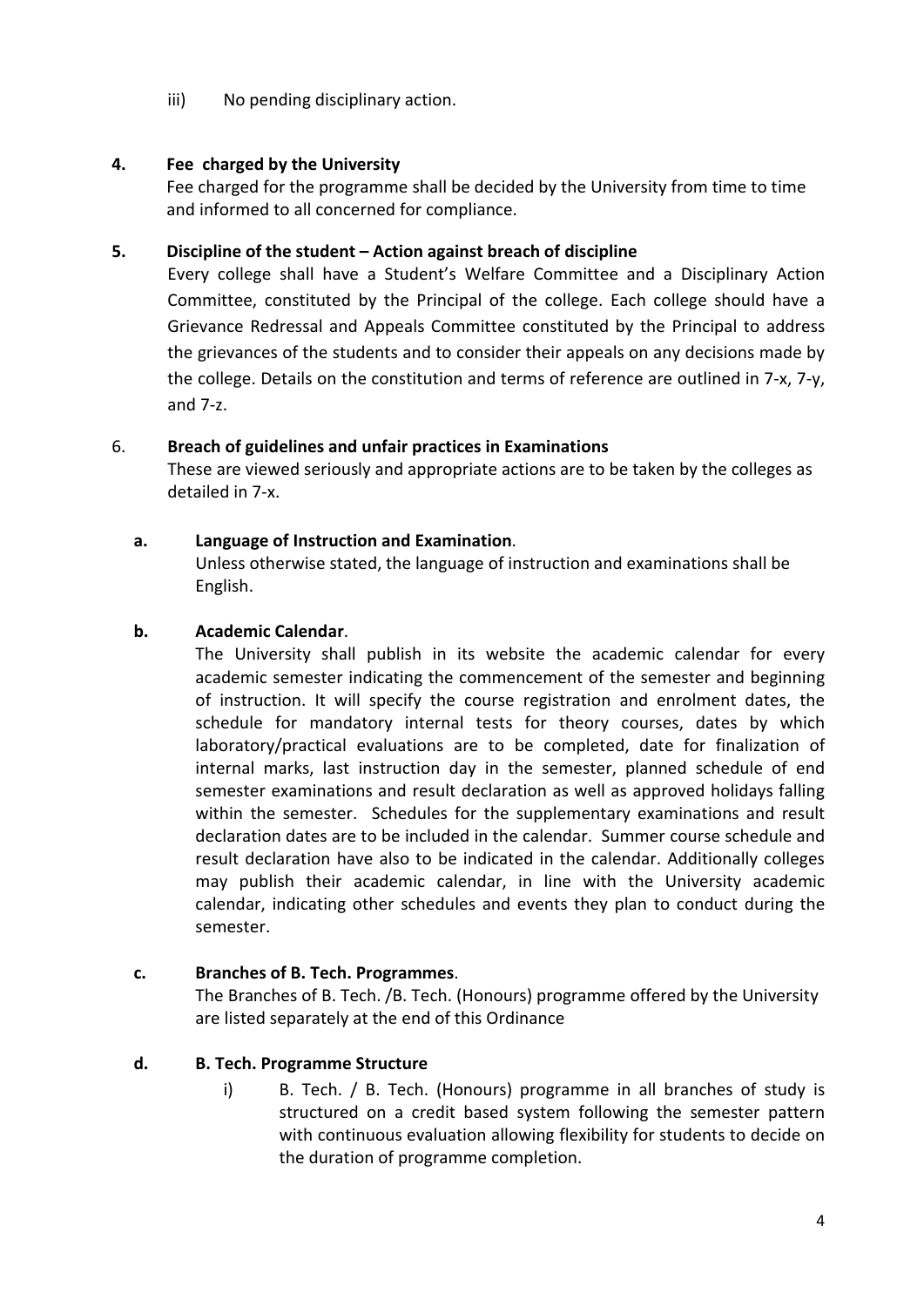iii) No pending disciplinary action.

# 4. Fee charged by the University

Fee charged for the programme shall be decided by the University from time to time and informed to all concerned for compliance.

#### 5. Discipline of the student – Action against breach of discipline

Every college shall have a Student's Welfare Committee and a Disciplinary Action Committee, constituted by the Principal of the college. Each college should have a Grievance Redressal and Appeals Committee constituted by the Principal to address the grievances of the students and to consider their appeals on any decisions made by the college. Details on the constitution and terms of reference are outlined in 7-x, 7-y, and 7-z.

#### 6. Breach of guidelines and unfair practices in Examinations

These are viewed seriously and appropriate actions are to be taken by the colleges as detailed in 7-x.

#### a. Language of Instruction and Examination.

Unless otherwise stated, the language of instruction and examinations shall be English.

#### b. Academic Calendar.

The University shall publish in its website the academic calendar for every academic semester indicating the commencement of the semester and beginning of instruction. It will specify the course registration and enrolment dates, the schedule for mandatory internal tests for theory courses, dates by which laboratory/practical evaluations are to be completed, date for finalization of internal marks, last instruction day in the semester, planned schedule of end semester examinations and result declaration as well as approved holidays falling within the semester. Schedules for the supplementary examinations and result declaration dates are to be included in the calendar. Summer course schedule and result declaration have also to be indicated in the calendar. Additionally colleges may publish their academic calendar, in line with the University academic calendar, indicating other schedules and events they plan to conduct during the semester.

### c. Branches of B. Tech. Programmes.

The Branches of B. Tech. /B. Tech. (Honours) programme offered by the University are listed separately at the end of this Ordinance

### d. B. Tech. Programme Structure

i) B. Tech. / B. Tech. (Honours) programme in all branches of study is structured on a credit based system following the semester pattern with continuous evaluation allowing flexibility for students to decide on the duration of programme completion.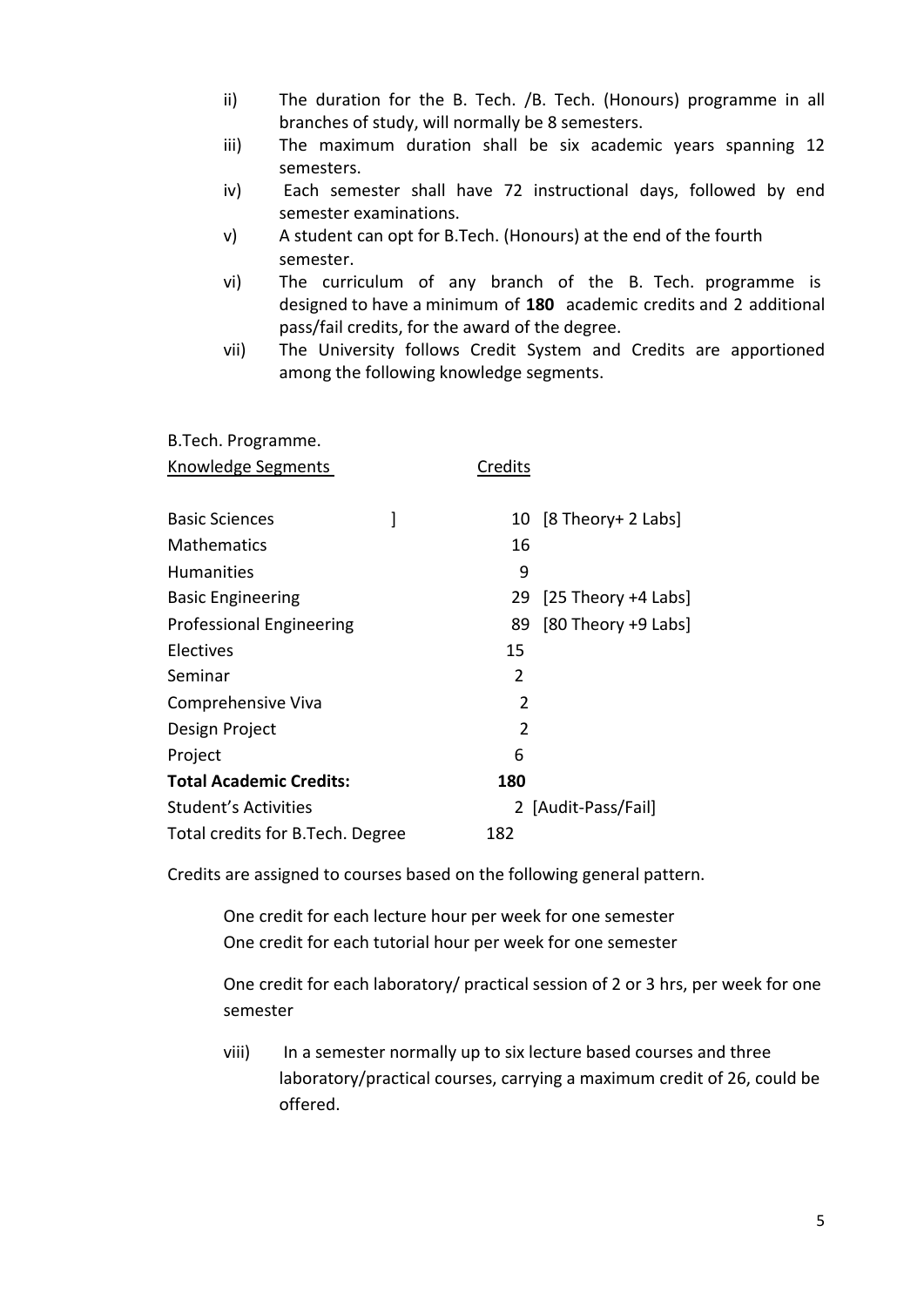- ii) The duration for the B. Tech. /B. Tech. (Honours) programme in all branches of study, will normally be 8 semesters.
- iii) The maximum duration shall be six academic years spanning 12 semesters.
- iv) Each semester shall have 72 instructional days, followed by end semester examinations.
- v) A student can opt for B.Tech. (Honours) at the end of the fourth semester.
- vi) The curriculum of any branch of the B. Tech. programme is designed to have a minimum of 180 academic credits and 2 additional pass/fail credits, for the award of the degree.
- vii) The University follows Credit System and Credits are apportioned among the following knowledge segments.

| B.Tech. Programme.               |               |                       |
|----------------------------------|---------------|-----------------------|
| Knowledge Segments               | Credits       |                       |
|                                  |               |                       |
| <b>Basic Sciences</b>            |               | 10 [8 Theory+ 2 Labs] |
| <b>Mathematics</b>               | 16            |                       |
| <b>Humanities</b>                | 9             |                       |
| <b>Basic Engineering</b>         | 29            | [25 Theory $+4$ Labs] |
| Professional Engineering         | 89            | $[80$ Theory +9 Labs  |
| Electives                        | 15            |                       |
| Seminar                          | 2             |                       |
| Comprehensive Viva               | $\mathcal{P}$ |                       |
| Design Project                   | 2             |                       |
| Project                          | 6             |                       |
| <b>Total Academic Credits:</b>   | 180           |                       |
| Student's Activities             |               | 2 [Audit-Pass/Fail]   |
| Total credits for B.Tech. Degree | 182           |                       |

Credits are assigned to courses based on the following general pattern.

One credit for each lecture hour per week for one semester One credit for each tutorial hour per week for one semester

One credit for each laboratory/ practical session of 2 or 3 hrs, per week for one semester

viii) In a semester normally up to six lecture based courses and three laboratory/practical courses, carrying a maximum credit of 26, could be offered.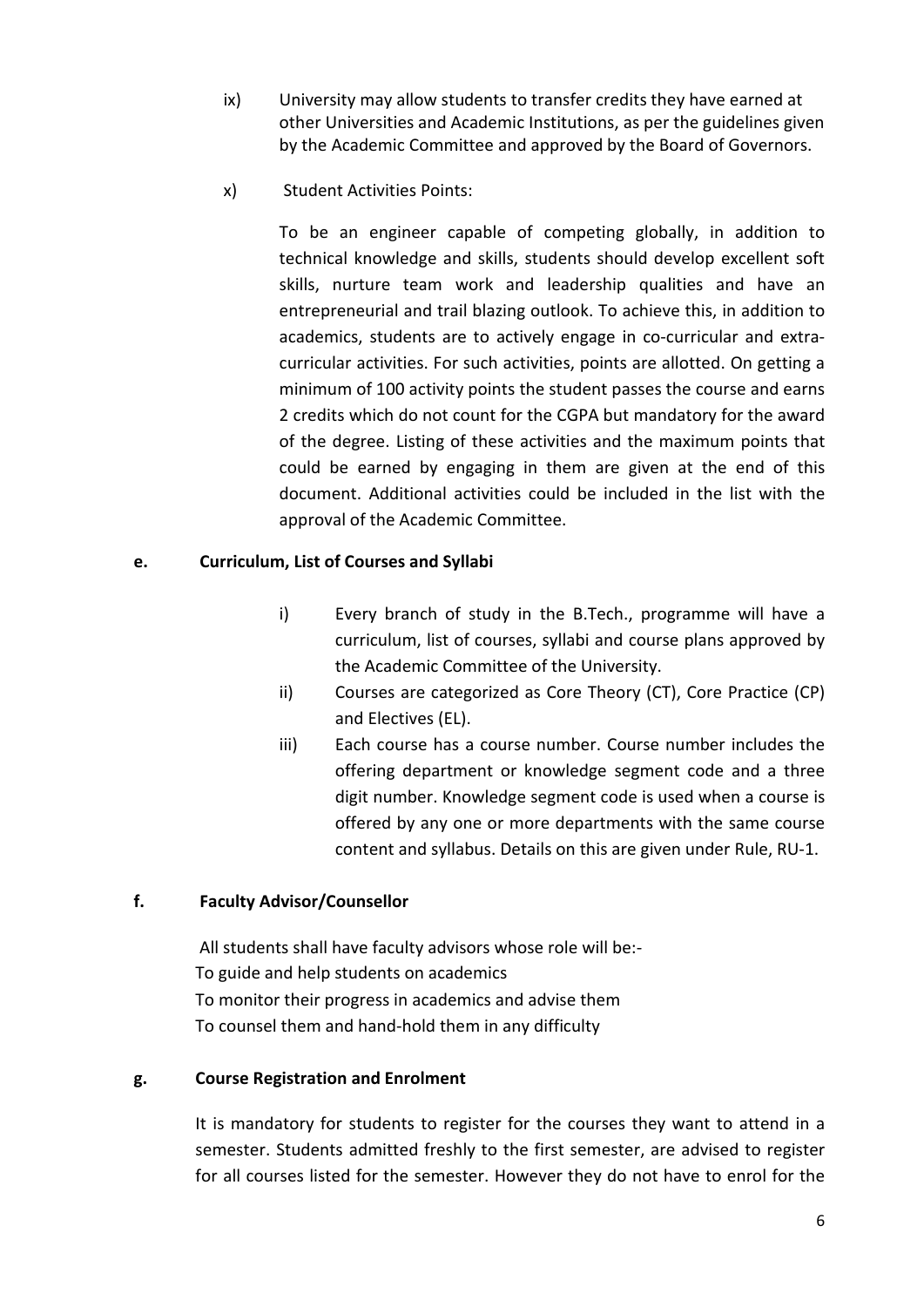- ix) University may allow students to transfer credits they have earned at other Universities and Academic Institutions, as per the guidelines given by the Academic Committee and approved by the Board of Governors.
- x) Student Activities Points:

To be an engineer capable of competing globally, in addition to technical knowledge and skills, students should develop excellent soft skills, nurture team work and leadership qualities and have an entrepreneurial and trail blazing outlook. To achieve this, in addition to academics, students are to actively engage in co-curricular and extracurricular activities. For such activities, points are allotted. On getting a minimum of 100 activity points the student passes the course and earns 2 credits which do not count for the CGPA but mandatory for the award of the degree. Listing of these activities and the maximum points that could be earned by engaging in them are given at the end of this document. Additional activities could be included in the list with the approval of the Academic Committee.

### e. Curriculum, List of Courses and Syllabi

- i) Every branch of study in the B.Tech., programme will have a curriculum, list of courses, syllabi and course plans approved by the Academic Committee of the University.
- ii) Courses are categorized as Core Theory (CT), Core Practice (CP) and Electives (EL).
- iii) Each course has a course number. Course number includes the offering department or knowledge segment code and a three digit number. Knowledge segment code is used when a course is offered by any one or more departments with the same course content and syllabus. Details on this are given under Rule, RU-1.

### f. Faculty Advisor/Counsellor

All students shall have faculty advisors whose role will be:- To guide and help students on academics To monitor their progress in academics and advise them To counsel them and hand-hold them in any difficulty

### g. Course Registration and Enrolment

It is mandatory for students to register for the courses they want to attend in a semester. Students admitted freshly to the first semester, are advised to register for all courses listed for the semester. However they do not have to enrol for the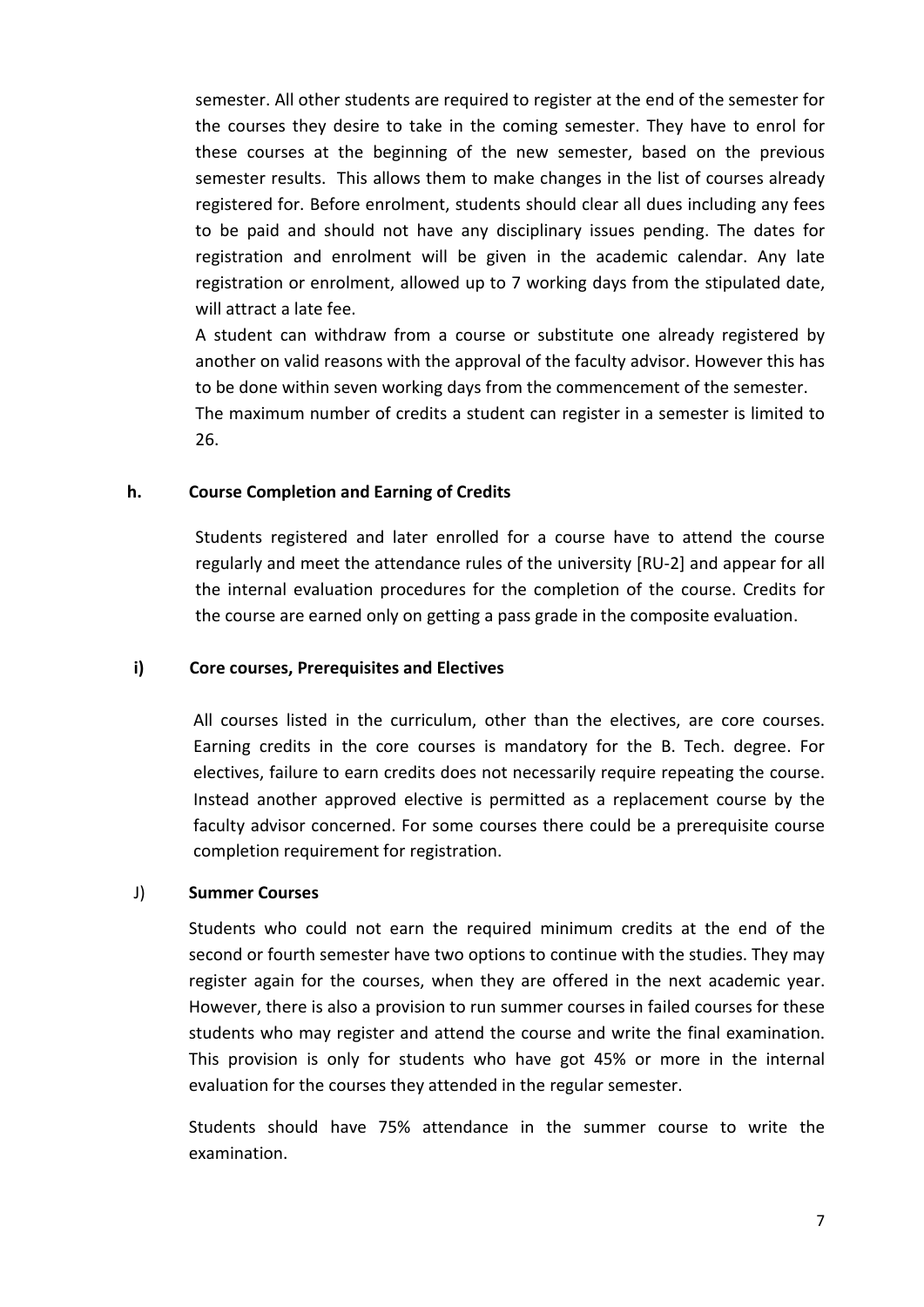semester. All other students are required to register at the end of the semester for the courses they desire to take in the coming semester. They have to enrol for these courses at the beginning of the new semester, based on the previous semester results. This allows them to make changes in the list of courses already registered for. Before enrolment, students should clear all dues including any fees to be paid and should not have any disciplinary issues pending. The dates for registration and enrolment will be given in the academic calendar. Any late registration or enrolment, allowed up to 7 working days from the stipulated date, will attract a late fee.

A student can withdraw from a course or substitute one already registered by another on valid reasons with the approval of the faculty advisor. However this has to be done within seven working days from the commencement of the semester. The maximum number of credits a student can register in a semester is limited to 26.

#### h. Course Completion and Earning of Credits

Students registered and later enrolled for a course have to attend the course regularly and meet the attendance rules of the university [RU-2] and appear for all the internal evaluation procedures for the completion of the course. Credits for the course are earned only on getting a pass grade in the composite evaluation.

#### i) Core courses, Prerequisites and Electives

All courses listed in the curriculum, other than the electives, are core courses. Earning credits in the core courses is mandatory for the B. Tech. degree. For electives, failure to earn credits does not necessarily require repeating the course. Instead another approved elective is permitted as a replacement course by the faculty advisor concerned. For some courses there could be a prerequisite course completion requirement for registration.

#### J) Summer Courses

Students who could not earn the required minimum credits at the end of the second or fourth semester have two options to continue with the studies. They may register again for the courses, when they are offered in the next academic year. However, there is also a provision to run summer courses in failed courses for these students who may register and attend the course and write the final examination. This provision is only for students who have got 45% or more in the internal evaluation for the courses they attended in the regular semester.

Students should have 75% attendance in the summer course to write the examination.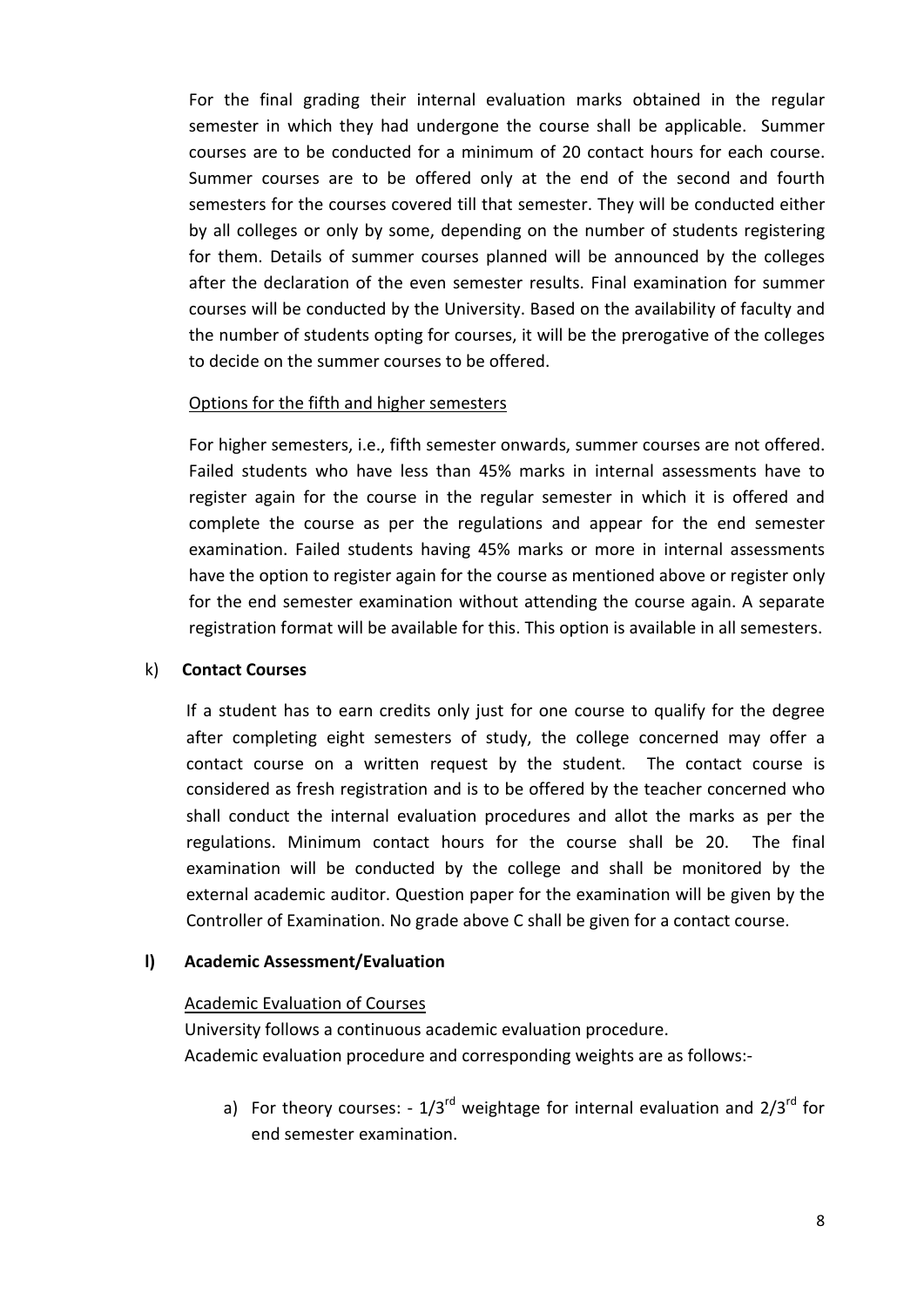For the final grading their internal evaluation marks obtained in the regular semester in which they had undergone the course shall be applicable. Summer courses are to be conducted for a minimum of 20 contact hours for each course. Summer courses are to be offered only at the end of the second and fourth semesters for the courses covered till that semester. They will be conducted either by all colleges or only by some, depending on the number of students registering for them. Details of summer courses planned will be announced by the colleges after the declaration of the even semester results. Final examination for summer courses will be conducted by the University. Based on the availability of faculty and the number of students opting for courses, it will be the prerogative of the colleges to decide on the summer courses to be offered.

#### Options for the fifth and higher semesters

For higher semesters, i.e., fifth semester onwards, summer courses are not offered. Failed students who have less than 45% marks in internal assessments have to register again for the course in the regular semester in which it is offered and complete the course as per the regulations and appear for the end semester examination. Failed students having 45% marks or more in internal assessments have the option to register again for the course as mentioned above or register only for the end semester examination without attending the course again. A separate registration format will be available for this. This option is available in all semesters.

#### k) Contact Courses

If a student has to earn credits only just for one course to qualify for the degree after completing eight semesters of study, the college concerned may offer a contact course on a written request by the student. The contact course is considered as fresh registration and is to be offered by the teacher concerned who shall conduct the internal evaluation procedures and allot the marks as per the regulations. Minimum contact hours for the course shall be 20. The final examination will be conducted by the college and shall be monitored by the external academic auditor. Question paper for the examination will be given by the Controller of Examination. No grade above C shall be given for a contact course.

### l) Academic Assessment/Evaluation

#### Academic Evaluation of Courses

 University follows a continuous academic evaluation procedure. Academic evaluation procedure and corresponding weights are as follows:-

a) For theory courses:  $-1/3^{rd}$  weightage for internal evaluation and  $2/3^{rd}$  for end semester examination.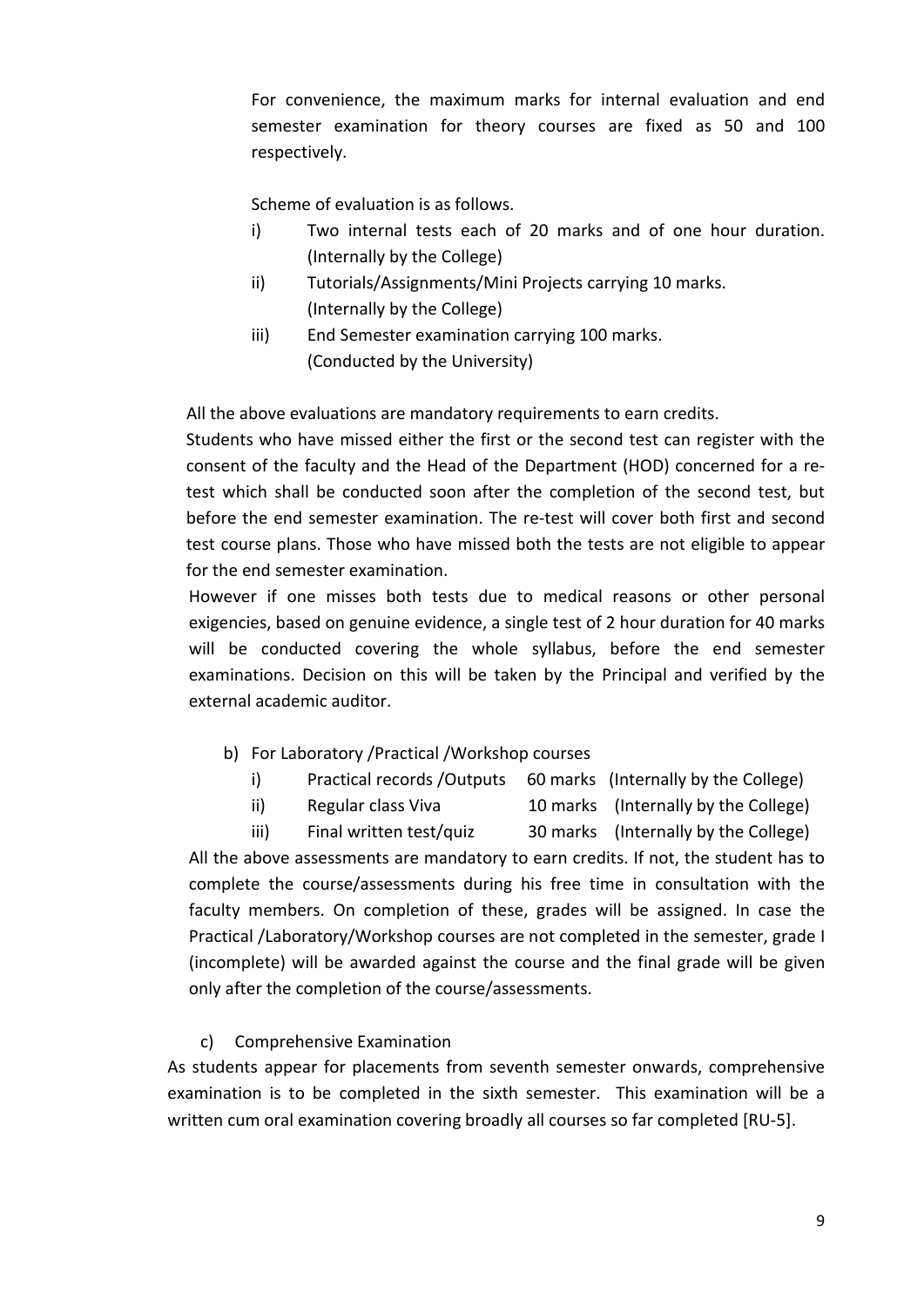For convenience, the maximum marks for internal evaluation and end semester examination for theory courses are fixed as 50 and 100 respectively.

Scheme of evaluation is as follows.

- i) Two internal tests each of 20 marks and of one hour duration. (Internally by the College)
- ii) Tutorials/Assignments/Mini Projects carrying 10 marks. (Internally by the College)
- iii) End Semester examination carrying 100 marks. (Conducted by the University)

All the above evaluations are mandatory requirements to earn credits.

Students who have missed either the first or the second test can register with the consent of the faculty and the Head of the Department (HOD) concerned for a retest which shall be conducted soon after the completion of the second test, but before the end semester examination. The re-test will cover both first and second test course plans. Those who have missed both the tests are not eligible to appear for the end semester examination.

However if one misses both tests due to medical reasons or other personal exigencies, based on genuine evidence, a single test of 2 hour duration for 40 marks will be conducted covering the whole syllabus, before the end semester examinations. Decision on this will be taken by the Principal and verified by the external academic auditor.

- b) For Laboratory /Practical /Workshop courses
	- i) Practical records /Outputs 60 marks (Internally by the College)
	- ii) Regular class Viva 10 marks (Internally by the College)
	- iii) Final written test/quiz 30 marks (Internally by the College)

All the above assessments are mandatory to earn credits. If not, the student has to complete the course/assessments during his free time in consultation with the faculty members. On completion of these, grades will be assigned. In case the Practical /Laboratory/Workshop courses are not completed in the semester, grade I (incomplete) will be awarded against the course and the final grade will be given only after the completion of the course/assessments.

### c) Comprehensive Examination

As students appear for placements from seventh semester onwards, comprehensive examination is to be completed in the sixth semester. This examination will be a written cum oral examination covering broadly all courses so far completed [RU-5].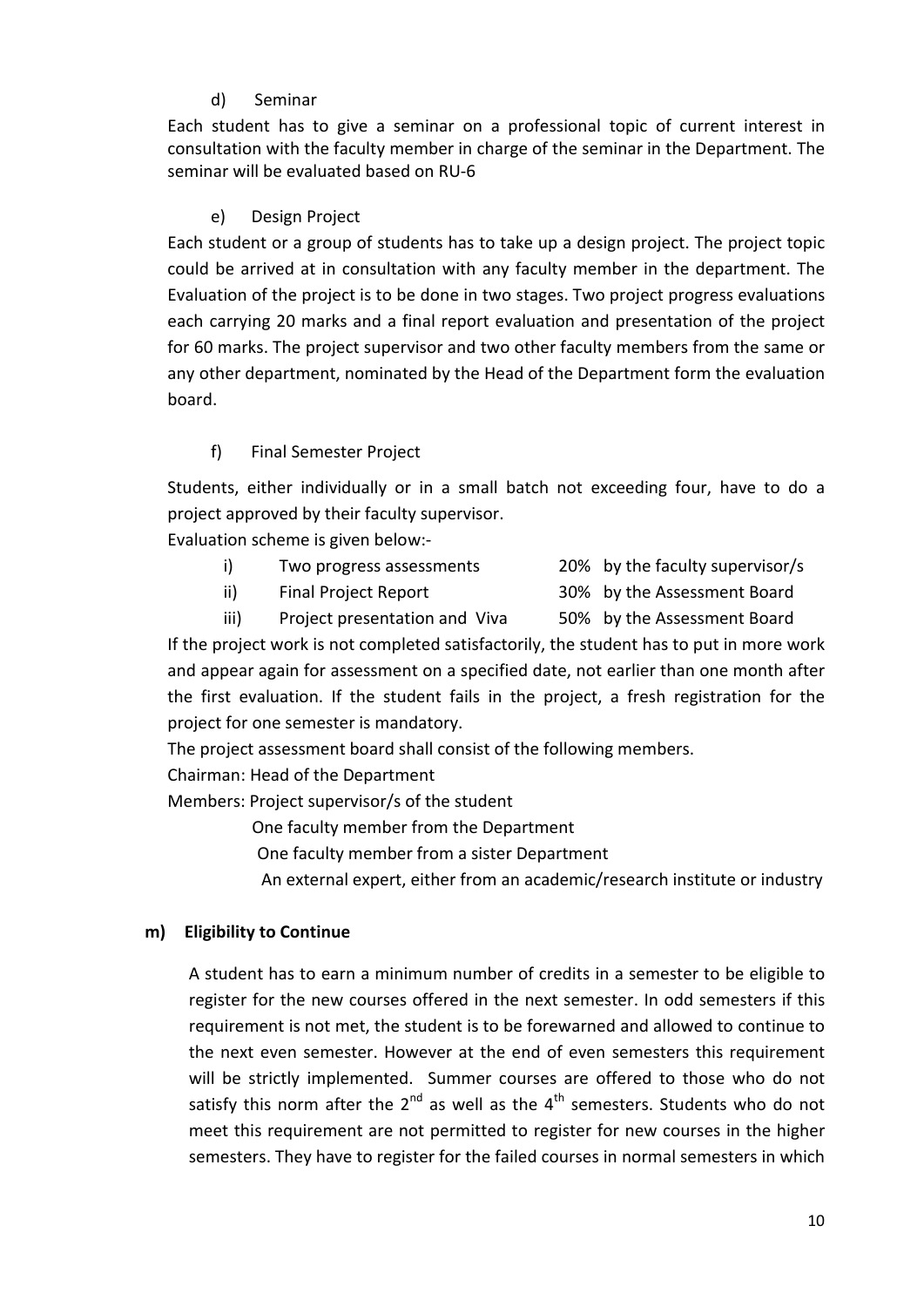# d) Seminar

Each student has to give a seminar on a professional topic of current interest in consultation with the faculty member in charge of the seminar in the Department. The seminar will be evaluated based on RU-6

## e) Design Project

Each student or a group of students has to take up a design project. The project topic could be arrived at in consultation with any faculty member in the department. The Evaluation of the project is to be done in two stages. Two project progress evaluations each carrying 20 marks and a final report evaluation and presentation of the project for 60 marks. The project supervisor and two other faculty members from the same or any other department, nominated by the Head of the Department form the evaluation board.

# f) Final Semester Project

Students, either individually or in a small batch not exceeding four, have to do a project approved by their faculty supervisor.

Evaluation scheme is given below:-

- i) Two progress assessments 20% by the faculty supervisor/s
	-
- 
- ii) Final Project Report 30% by the Assessment Board
- iii) Project presentation and Viva 50% by the Assessment Board

If the project work is not completed satisfactorily, the student has to put in more work and appear again for assessment on a specified date, not earlier than one month after the first evaluation. If the student fails in the project, a fresh registration for the project for one semester is mandatory.

The project assessment board shall consist of the following members.

Chairman: Head of the Department

Members: Project supervisor/s of the student

One faculty member from the Department

One faculty member from a sister Department

An external expert, either from an academic/research institute or industry

### m) Eligibility to Continue

A student has to earn a minimum number of credits in a semester to be eligible to register for the new courses offered in the next semester. In odd semesters if this requirement is not met, the student is to be forewarned and allowed to continue to the next even semester. However at the end of even semesters this requirement will be strictly implemented. Summer courses are offered to those who do not satisfy this norm after the  $2^{nd}$  as well as the  $4^{th}$  semesters. Students who do not meet this requirement are not permitted to register for new courses in the higher semesters. They have to register for the failed courses in normal semesters in which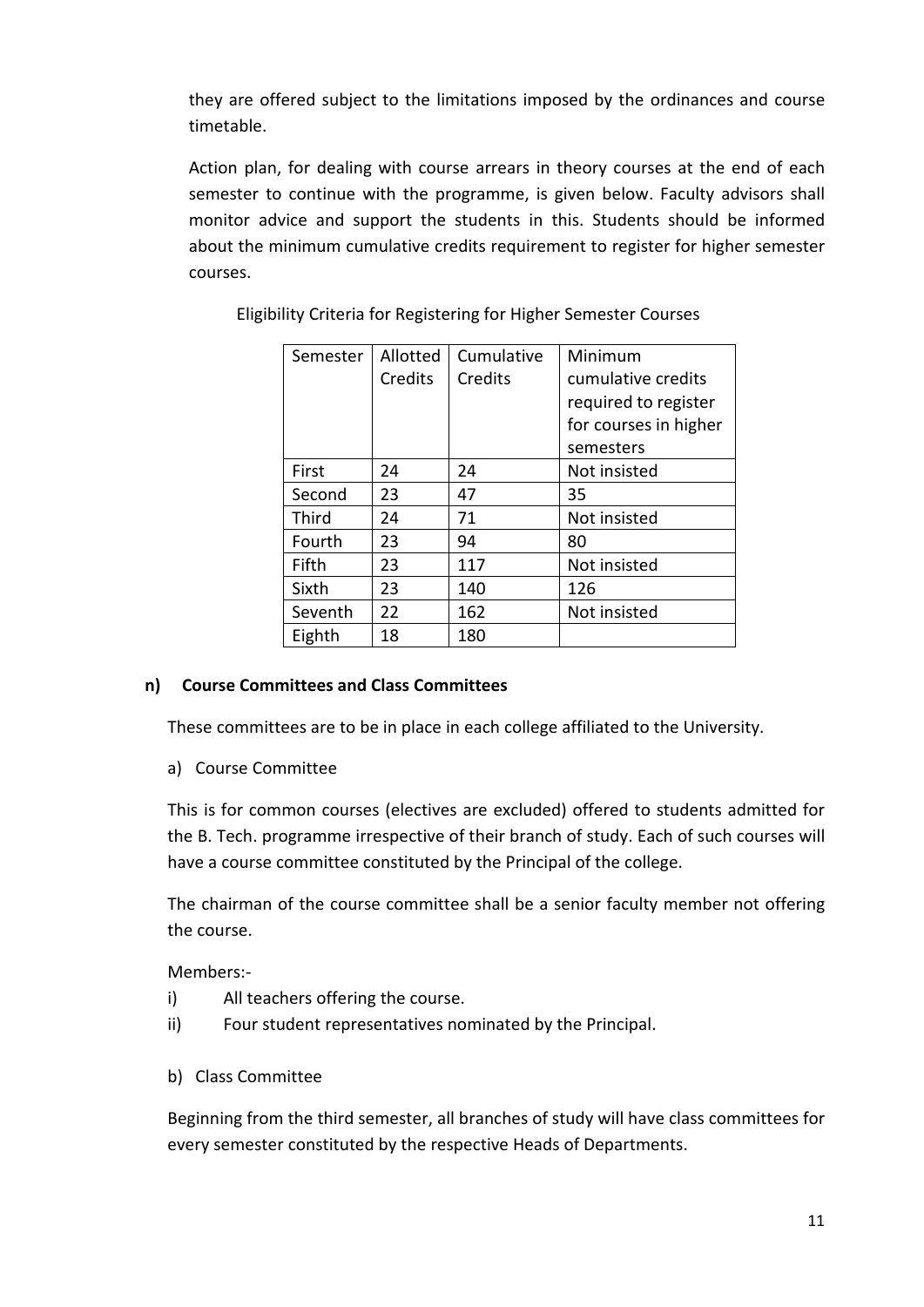they are offered subject to the limitations imposed by the ordinances and course timetable.

Action plan, for dealing with course arrears in theory courses at the end of each semester to continue with the programme, is given below. Faculty advisors shall monitor advice and support the students in this. Students should be informed about the minimum cumulative credits requirement to register for higher semester courses.

| Semester | Allotted | Cumulative | Minimum               |
|----------|----------|------------|-----------------------|
|          | Credits  | Credits    | cumulative credits    |
|          |          |            | required to register  |
|          |          |            | for courses in higher |
|          |          |            | semesters             |
| First    | 24       | 24         | Not insisted          |
| Second   | 23       | 47         | 35                    |
| Third    | 24       | 71         | Not insisted          |
| Fourth   | 23       | 94         | 80                    |
| Fifth    | 23       | 117        | Not insisted          |
| Sixth    | 23       | 140        | 126                   |
| Seventh  | 22       | 162        | Not insisted          |
| Eighth   | 18       | 180        |                       |

Eligibility Criteria for Registering for Higher Semester Courses

### n) Course Committees and Class Committees

These committees are to be in place in each college affiliated to the University.

a) Course Committee

This is for common courses (electives are excluded) offered to students admitted for the B. Tech. programme irrespective of their branch of study. Each of such courses will have a course committee constituted by the Principal of the college.

The chairman of the course committee shall be a senior faculty member not offering the course.

Members:-

- i) All teachers offering the course.
- ii) Four student representatives nominated by the Principal.
- b) Class Committee

Beginning from the third semester, all branches of study will have class committees for every semester constituted by the respective Heads of Departments.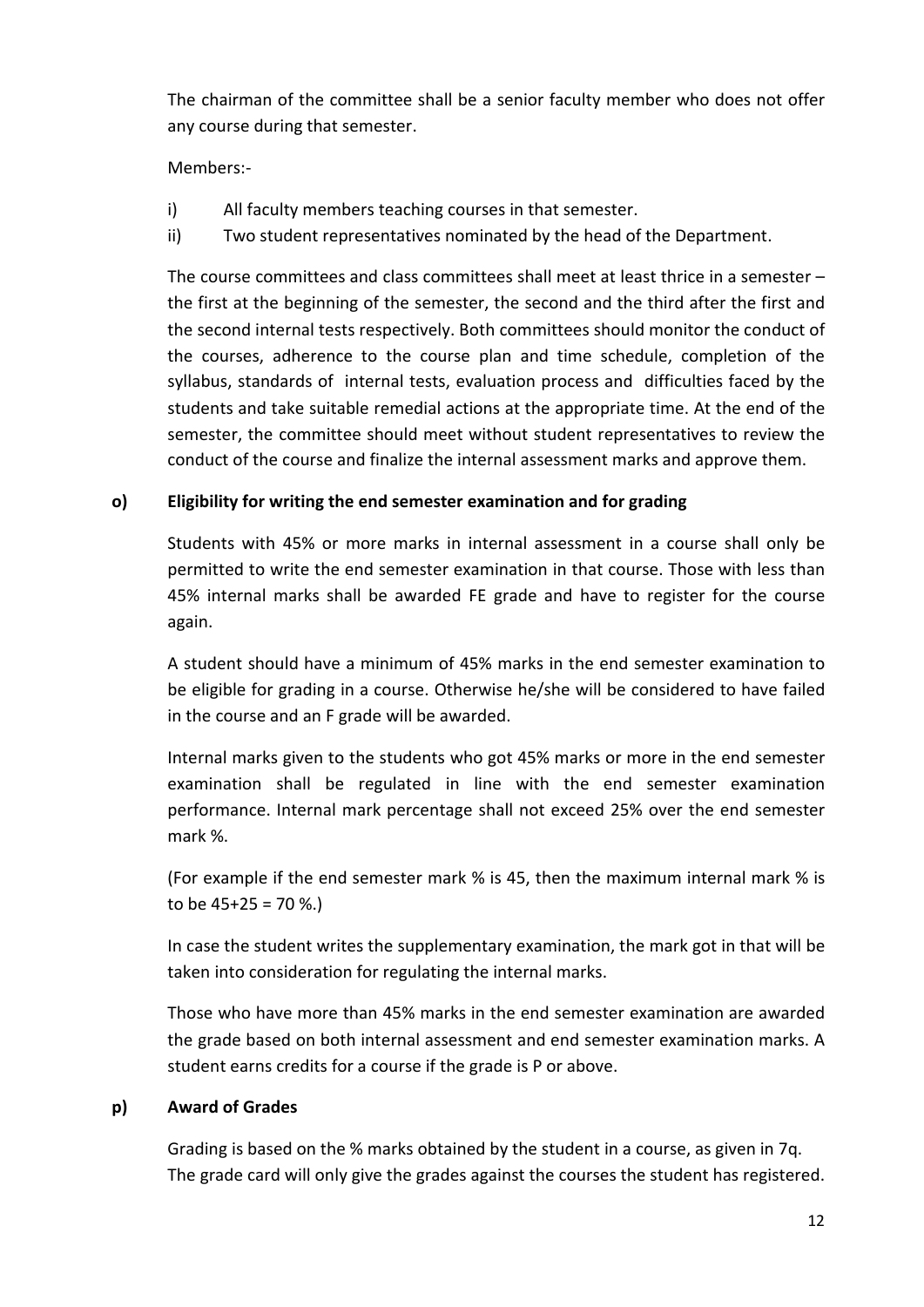The chairman of the committee shall be a senior faculty member who does not offer any course during that semester.

# Members:-

- i) All faculty members teaching courses in that semester.
- ii) Two student representatives nominated by the head of the Department.

The course committees and class committees shall meet at least thrice in a semester – the first at the beginning of the semester, the second and the third after the first and the second internal tests respectively. Both committees should monitor the conduct of the courses, adherence to the course plan and time schedule, completion of the syllabus, standards of internal tests, evaluation process and difficulties faced by the students and take suitable remedial actions at the appropriate time. At the end of the semester, the committee should meet without student representatives to review the conduct of the course and finalize the internal assessment marks and approve them.

### o) Eligibility for writing the end semester examination and for grading

Students with 45% or more marks in internal assessment in a course shall only be permitted to write the end semester examination in that course. Those with less than 45% internal marks shall be awarded FE grade and have to register for the course again.

A student should have a minimum of 45% marks in the end semester examination to be eligible for grading in a course. Otherwise he/she will be considered to have failed in the course and an F grade will be awarded.

Internal marks given to the students who got 45% marks or more in the end semester examination shall be regulated in line with the end semester examination performance. Internal mark percentage shall not exceed 25% over the end semester mark %.

(For example if the end semester mark % is 45, then the maximum internal mark % is to be  $45+25 = 70$  %.)

In case the student writes the supplementary examination, the mark got in that will be taken into consideration for regulating the internal marks.

Those who have more than 45% marks in the end semester examination are awarded the grade based on both internal assessment and end semester examination marks. A student earns credits for a course if the grade is P or above.

### p) Award of Grades

Grading is based on the % marks obtained by the student in a course, as given in 7q. The grade card will only give the grades against the courses the student has registered.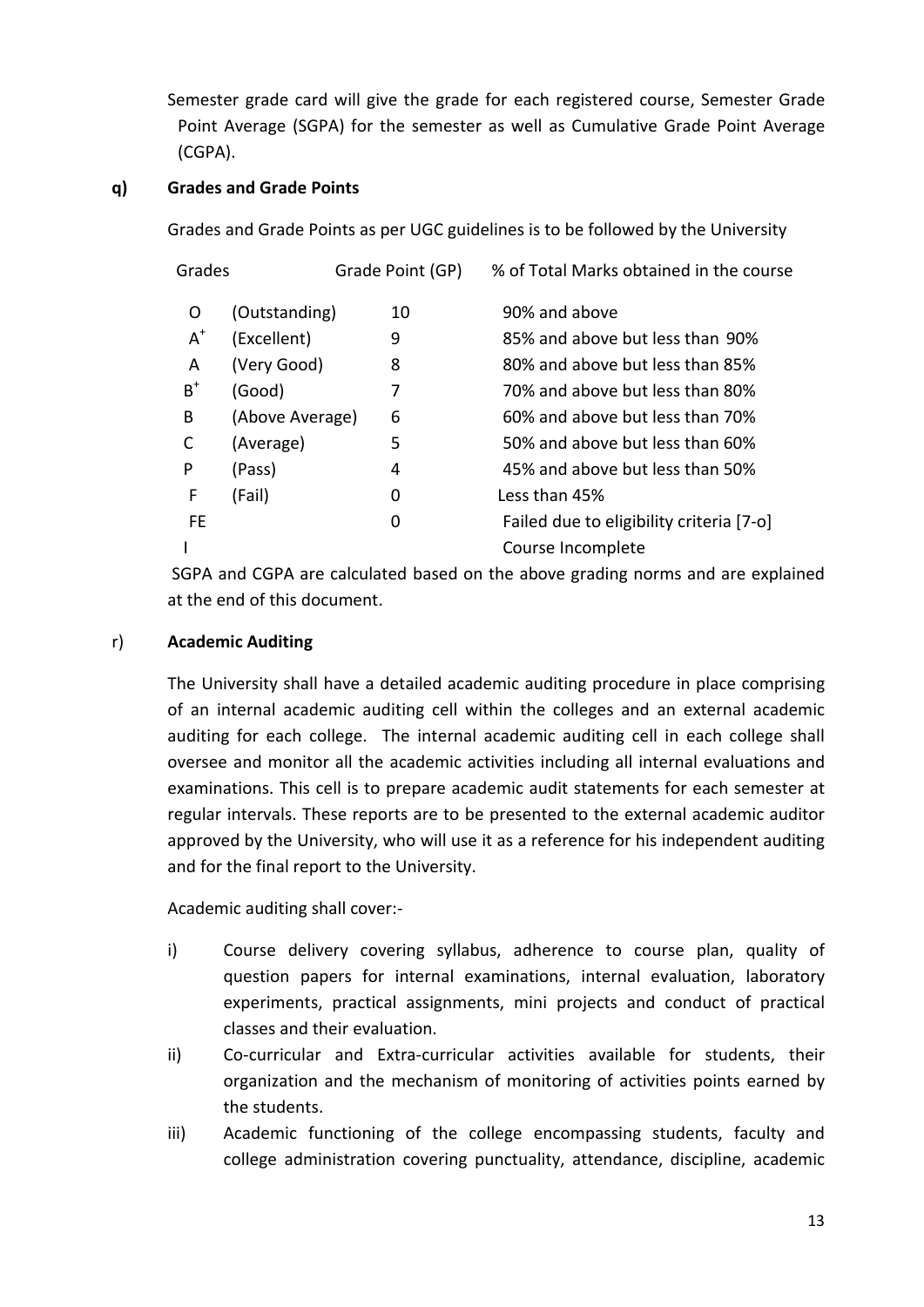Semester grade card will give the grade for each registered course, Semester Grade Point Average (SGPA) for the semester as well as Cumulative Grade Point Average (CGPA).

# q) Grades and Grade Points

Grades and Grade Points as per UGC guidelines is to be followed by the University

| Grades |                 | Grade Point (GP) | % of Total Marks obtained in the course  |
|--------|-----------------|------------------|------------------------------------------|
| 0      | (Outstanding)   | 10               | 90% and above                            |
| $A^+$  | (Excellent)     | 9                | 85% and above but less than 90%          |
| A      | (Very Good)     | 8                | 80% and above but less than 85%          |
| $B^+$  | (Good)          | 7                | 70% and above but less than 80%          |
| B      | (Above Average) | 6                | 60% and above but less than 70%          |
| C      | (Average)       | 5                | 50% and above but less than 60%          |
| P      | (Pass)          | 4                | 45% and above but less than 50%          |
| F      | (Fail)          | 0                | Less than 45%                            |
| FF.    |                 | 0                | Failed due to eligibility criteria [7-o] |
|        |                 |                  | Course Incomplete                        |

SGPA and CGPA are calculated based on the above grading norms and are explained at the end of this document.

### r) Academic Auditing

The University shall have a detailed academic auditing procedure in place comprising of an internal academic auditing cell within the colleges and an external academic auditing for each college. The internal academic auditing cell in each college shall oversee and monitor all the academic activities including all internal evaluations and examinations. This cell is to prepare academic audit statements for each semester at regular intervals. These reports are to be presented to the external academic auditor approved by the University, who will use it as a reference for his independent auditing and for the final report to the University.

Academic auditing shall cover:-

- i) Course delivery covering syllabus, adherence to course plan, quality of question papers for internal examinations, internal evaluation, laboratory experiments, practical assignments, mini projects and conduct of practical classes and their evaluation.
- ii) Co-curricular and Extra-curricular activities available for students, their organization and the mechanism of monitoring of activities points earned by the students.
- iii) Academic functioning of the college encompassing students, faculty and college administration covering punctuality, attendance, discipline, academic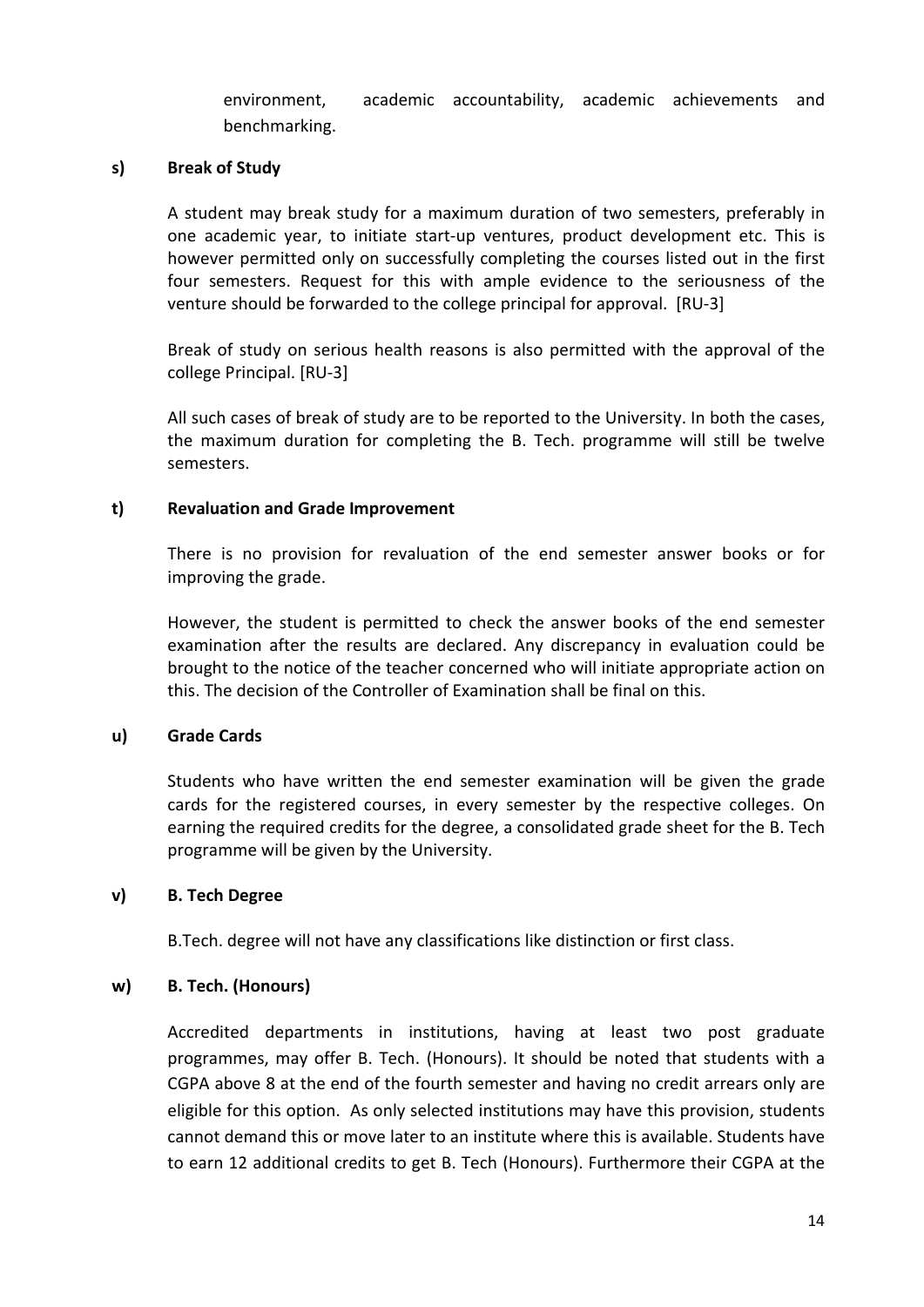environment, academic accountability, academic achievements and benchmarking.

#### s) Break of Study

A student may break study for a maximum duration of two semesters, preferably in one academic year, to initiate start-up ventures, product development etc. This is however permitted only on successfully completing the courses listed out in the first four semesters. Request for this with ample evidence to the seriousness of the venture should be forwarded to the college principal for approval. [RU-3]

Break of study on serious health reasons is also permitted with the approval of the college Principal. [RU-3]

All such cases of break of study are to be reported to the University. In both the cases, the maximum duration for completing the B. Tech. programme will still be twelve semesters.

#### t) Revaluation and Grade Improvement

There is no provision for revaluation of the end semester answer books or for improving the grade.

However, the student is permitted to check the answer books of the end semester examination after the results are declared. Any discrepancy in evaluation could be brought to the notice of the teacher concerned who will initiate appropriate action on this. The decision of the Controller of Examination shall be final on this.

#### u) Grade Cards

Students who have written the end semester examination will be given the grade cards for the registered courses, in every semester by the respective colleges. On earning the required credits for the degree, a consolidated grade sheet for the B. Tech programme will be given by the University.

#### v) B. Tech Degree

B.Tech. degree will not have any classifications like distinction or first class.

#### w) B. Tech. (Honours)

Accredited departments in institutions, having at least two post graduate programmes, may offer B. Tech. (Honours). It should be noted that students with a CGPA above 8 at the end of the fourth semester and having no credit arrears only are eligible for this option. As only selected institutions may have this provision, students cannot demand this or move later to an institute where this is available. Students have to earn 12 additional credits to get B. Tech (Honours). Furthermore their CGPA at the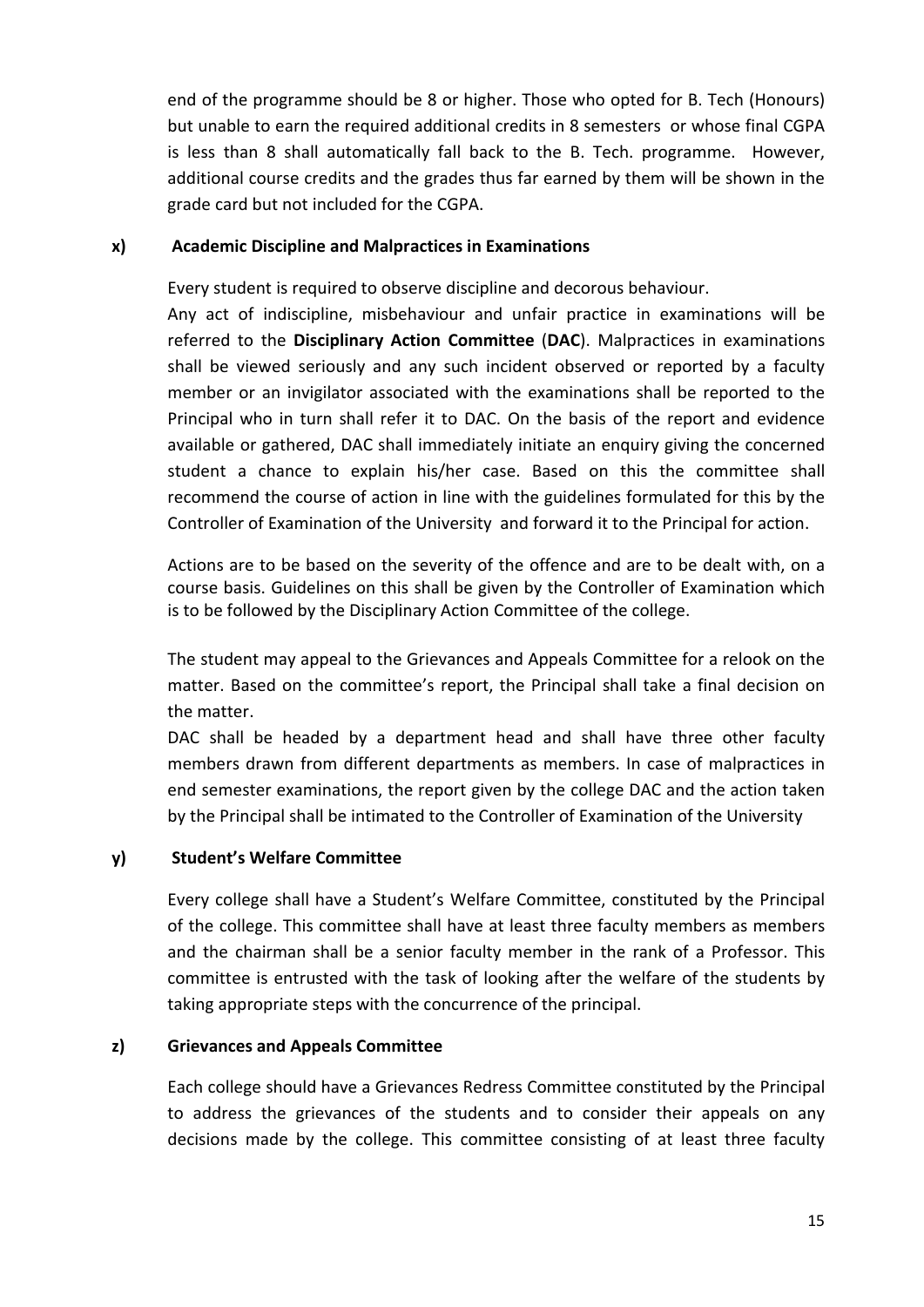end of the programme should be 8 or higher. Those who opted for B. Tech (Honours) but unable to earn the required additional credits in 8 semesters or whose final CGPA is less than 8 shall automatically fall back to the B. Tech. programme. However, additional course credits and the grades thus far earned by them will be shown in the grade card but not included for the CGPA.

#### x) Academic Discipline and Malpractices in Examinations

Every student is required to observe discipline and decorous behaviour.

Any act of indiscipline, misbehaviour and unfair practice in examinations will be referred to the Disciplinary Action Committee (DAC). Malpractices in examinations shall be viewed seriously and any such incident observed or reported by a faculty member or an invigilator associated with the examinations shall be reported to the Principal who in turn shall refer it to DAC. On the basis of the report and evidence available or gathered, DAC shall immediately initiate an enquiry giving the concerned student a chance to explain his/her case. Based on this the committee shall recommend the course of action in line with the guidelines formulated for this by the Controller of Examination of the University and forward it to the Principal for action.

Actions are to be based on the severity of the offence and are to be dealt with, on a course basis. Guidelines on this shall be given by the Controller of Examination which is to be followed by the Disciplinary Action Committee of the college.

The student may appeal to the Grievances and Appeals Committee for a relook on the matter. Based on the committee's report, the Principal shall take a final decision on the matter.

DAC shall be headed by a department head and shall have three other faculty members drawn from different departments as members. In case of malpractices in end semester examinations, the report given by the college DAC and the action taken by the Principal shall be intimated to the Controller of Examination of the University

### y) Student's Welfare Committee

Every college shall have a Student's Welfare Committee, constituted by the Principal of the college. This committee shall have at least three faculty members as members and the chairman shall be a senior faculty member in the rank of a Professor. This committee is entrusted with the task of looking after the welfare of the students by taking appropriate steps with the concurrence of the principal.

### z) Grievances and Appeals Committee

Each college should have a Grievances Redress Committee constituted by the Principal to address the grievances of the students and to consider their appeals on any decisions made by the college. This committee consisting of at least three faculty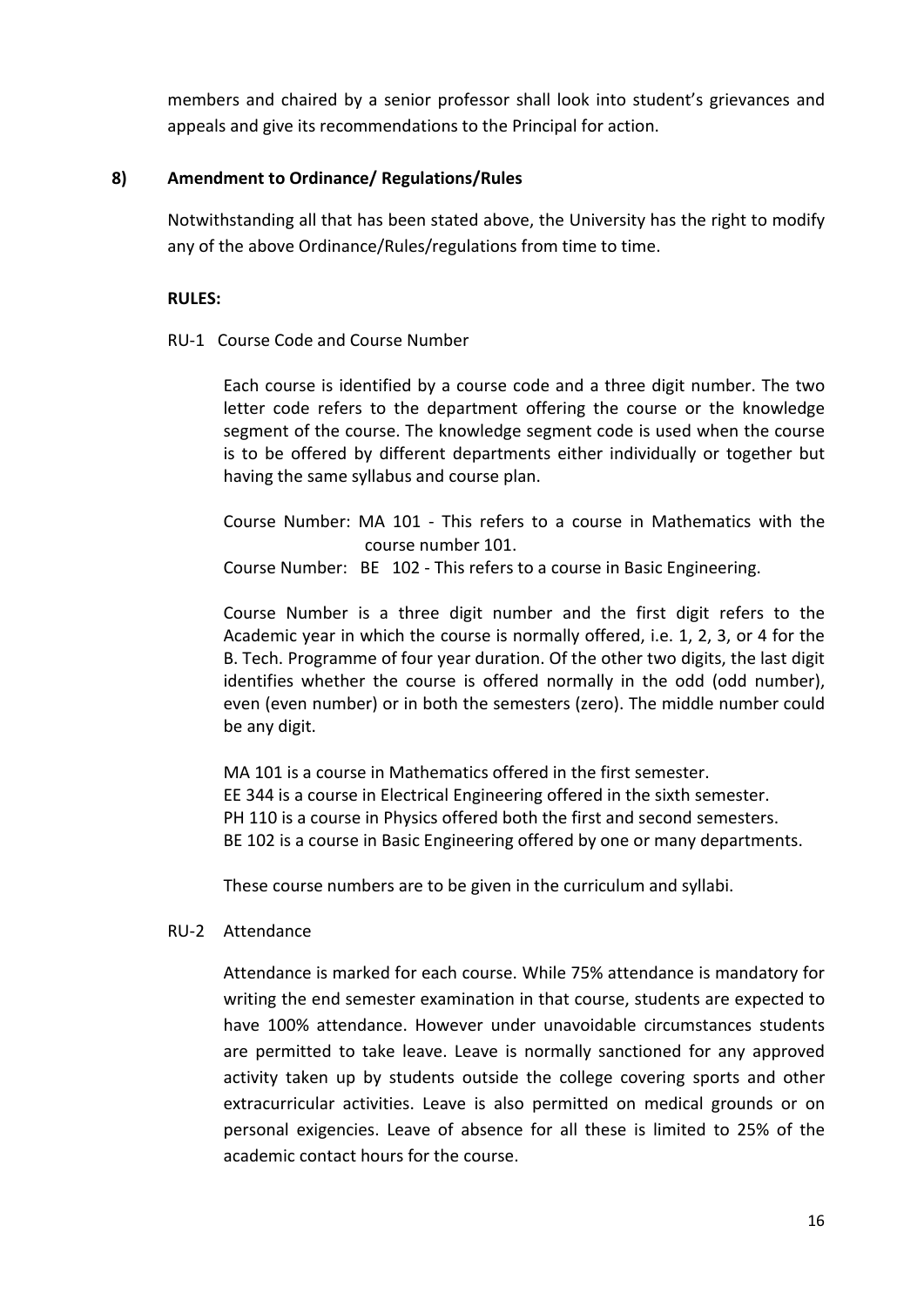members and chaired by a senior professor shall look into student's grievances and appeals and give its recommendations to the Principal for action.

### 8) Amendment to Ordinance/ Regulations/Rules

Notwithstanding all that has been stated above, the University has the right to modify any of the above Ordinance/Rules/regulations from time to time.

#### RULES:

#### RU-1 Course Code and Course Number

Each course is identified by a course code and a three digit number. The two letter code refers to the department offering the course or the knowledge segment of the course. The knowledge segment code is used when the course is to be offered by different departments either individually or together but having the same syllabus and course plan.

Course Number: MA 101 - This refers to a course in Mathematics with the course number 101.

Course Number: BE 102 - This refers to a course in Basic Engineering.

Course Number is a three digit number and the first digit refers to the Academic year in which the course is normally offered, i.e. 1, 2, 3, or 4 for the B. Tech. Programme of four year duration. Of the other two digits, the last digit identifies whether the course is offered normally in the odd (odd number), even (even number) or in both the semesters (zero). The middle number could be any digit.

MA 101 is a course in Mathematics offered in the first semester. EE 344 is a course in Electrical Engineering offered in the sixth semester. PH 110 is a course in Physics offered both the first and second semesters. BE 102 is a course in Basic Engineering offered by one or many departments.

These course numbers are to be given in the curriculum and syllabi.

#### RU-2 Attendance

Attendance is marked for each course. While 75% attendance is mandatory for writing the end semester examination in that course, students are expected to have 100% attendance. However under unavoidable circumstances students are permitted to take leave. Leave is normally sanctioned for any approved activity taken up by students outside the college covering sports and other extracurricular activities. Leave is also permitted on medical grounds or on personal exigencies. Leave of absence for all these is limited to 25% of the academic contact hours for the course.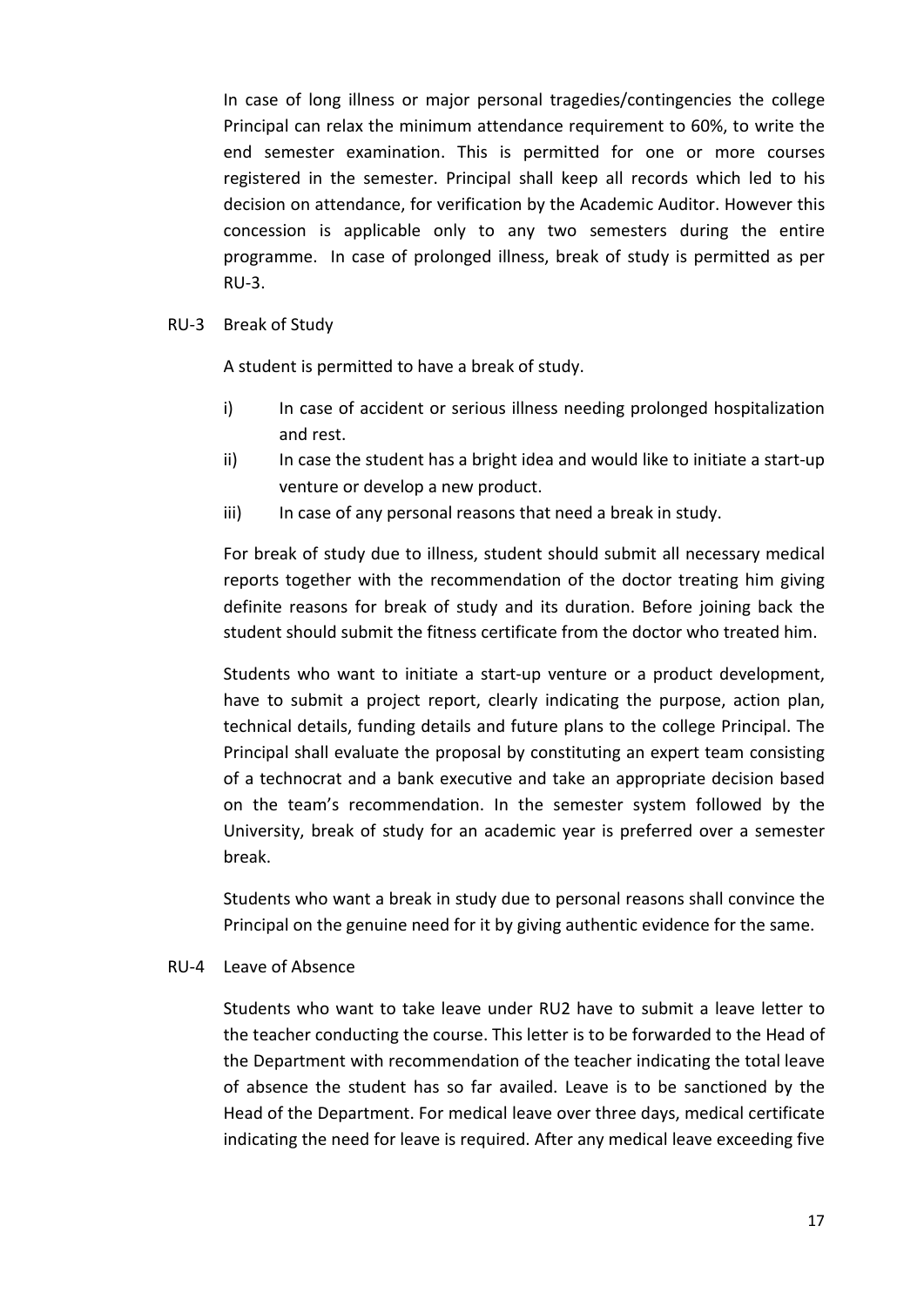In case of long illness or major personal tragedies/contingencies the college Principal can relax the minimum attendance requirement to 60%, to write the end semester examination. This is permitted for one or more courses registered in the semester. Principal shall keep all records which led to his decision on attendance, for verification by the Academic Auditor. However this concession is applicable only to any two semesters during the entire programme. In case of prolonged illness, break of study is permitted as per RU-3.

#### RU-3 Break of Study

A student is permitted to have a break of study.

- i) In case of accident or serious illness needing prolonged hospitalization and rest.
- ii) In case the student has a bright idea and would like to initiate a start-up venture or develop a new product.
- iii) In case of any personal reasons that need a break in study.

For break of study due to illness, student should submit all necessary medical reports together with the recommendation of the doctor treating him giving definite reasons for break of study and its duration. Before joining back the student should submit the fitness certificate from the doctor who treated him.

Students who want to initiate a start-up venture or a product development, have to submit a project report, clearly indicating the purpose, action plan, technical details, funding details and future plans to the college Principal. The Principal shall evaluate the proposal by constituting an expert team consisting of a technocrat and a bank executive and take an appropriate decision based on the team's recommendation. In the semester system followed by the University, break of study for an academic year is preferred over a semester break.

Students who want a break in study due to personal reasons shall convince the Principal on the genuine need for it by giving authentic evidence for the same.

#### RU-4 Leave of Absence

Students who want to take leave under RU2 have to submit a leave letter to the teacher conducting the course. This letter is to be forwarded to the Head of the Department with recommendation of the teacher indicating the total leave of absence the student has so far availed. Leave is to be sanctioned by the Head of the Department. For medical leave over three days, medical certificate indicating the need for leave is required. After any medical leave exceeding five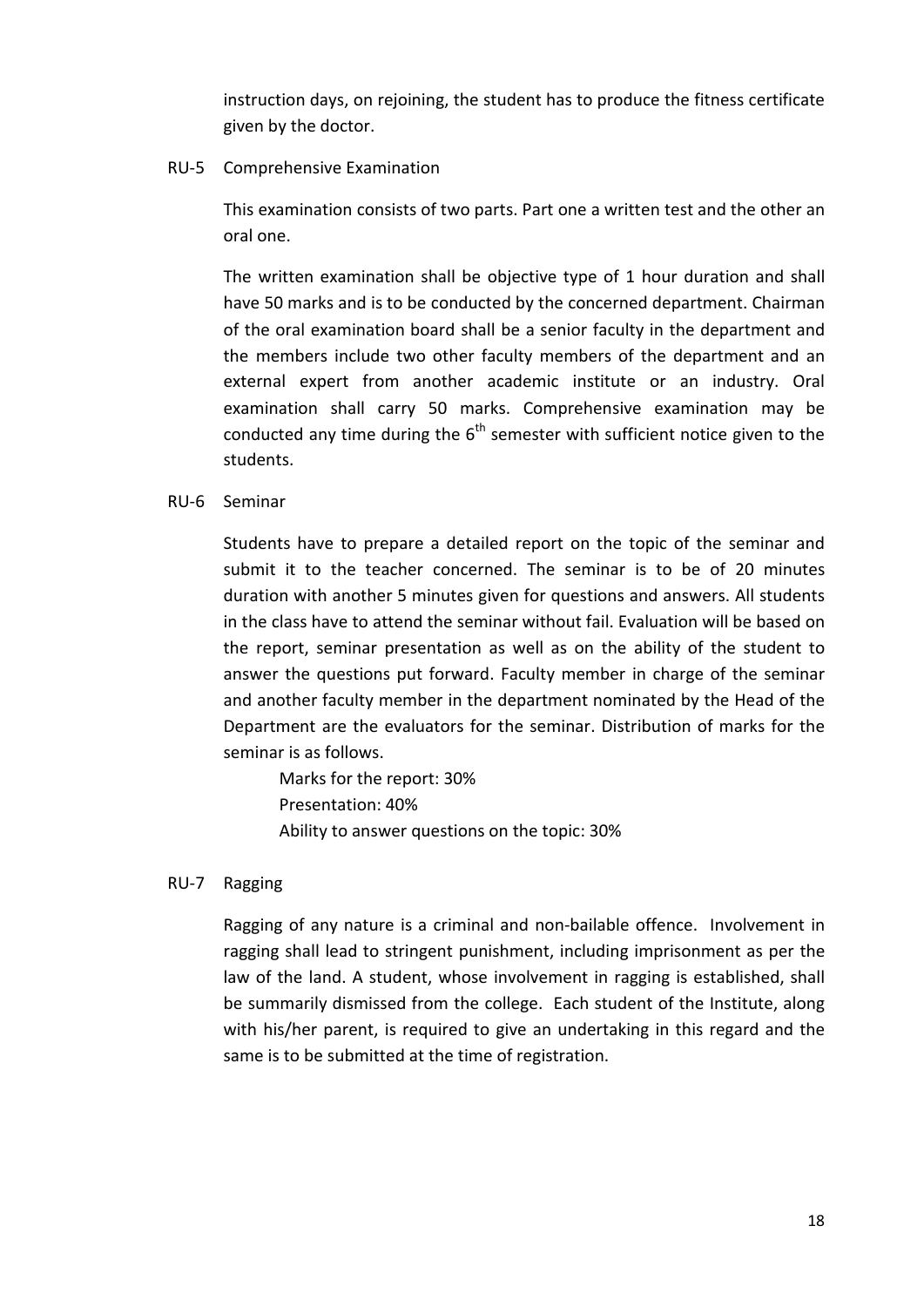instruction days, on rejoining, the student has to produce the fitness certificate given by the doctor.

#### RU-5 Comprehensive Examination

This examination consists of two parts. Part one a written test and the other an oral one.

The written examination shall be objective type of 1 hour duration and shall have 50 marks and is to be conducted by the concerned department. Chairman of the oral examination board shall be a senior faculty in the department and the members include two other faculty members of the department and an external expert from another academic institute or an industry. Oral examination shall carry 50 marks. Comprehensive examination may be conducted any time during the  $6<sup>th</sup>$  semester with sufficient notice given to the students.

#### RU-6 Seminar

Students have to prepare a detailed report on the topic of the seminar and submit it to the teacher concerned. The seminar is to be of 20 minutes duration with another 5 minutes given for questions and answers. All students in the class have to attend the seminar without fail. Evaluation will be based on the report, seminar presentation as well as on the ability of the student to answer the questions put forward. Faculty member in charge of the seminar and another faculty member in the department nominated by the Head of the Department are the evaluators for the seminar. Distribution of marks for the seminar is as follows.

Marks for the report: 30% Presentation: 40% Ability to answer questions on the topic: 30%

#### RU-7 Ragging

Ragging of any nature is a criminal and non-bailable offence. Involvement in ragging shall lead to stringent punishment, including imprisonment as per the law of the land. A student, whose involvement in ragging is established, shall be summarily dismissed from the college. Each student of the Institute, along with his/her parent, is required to give an undertaking in this regard and the same is to be submitted at the time of registration.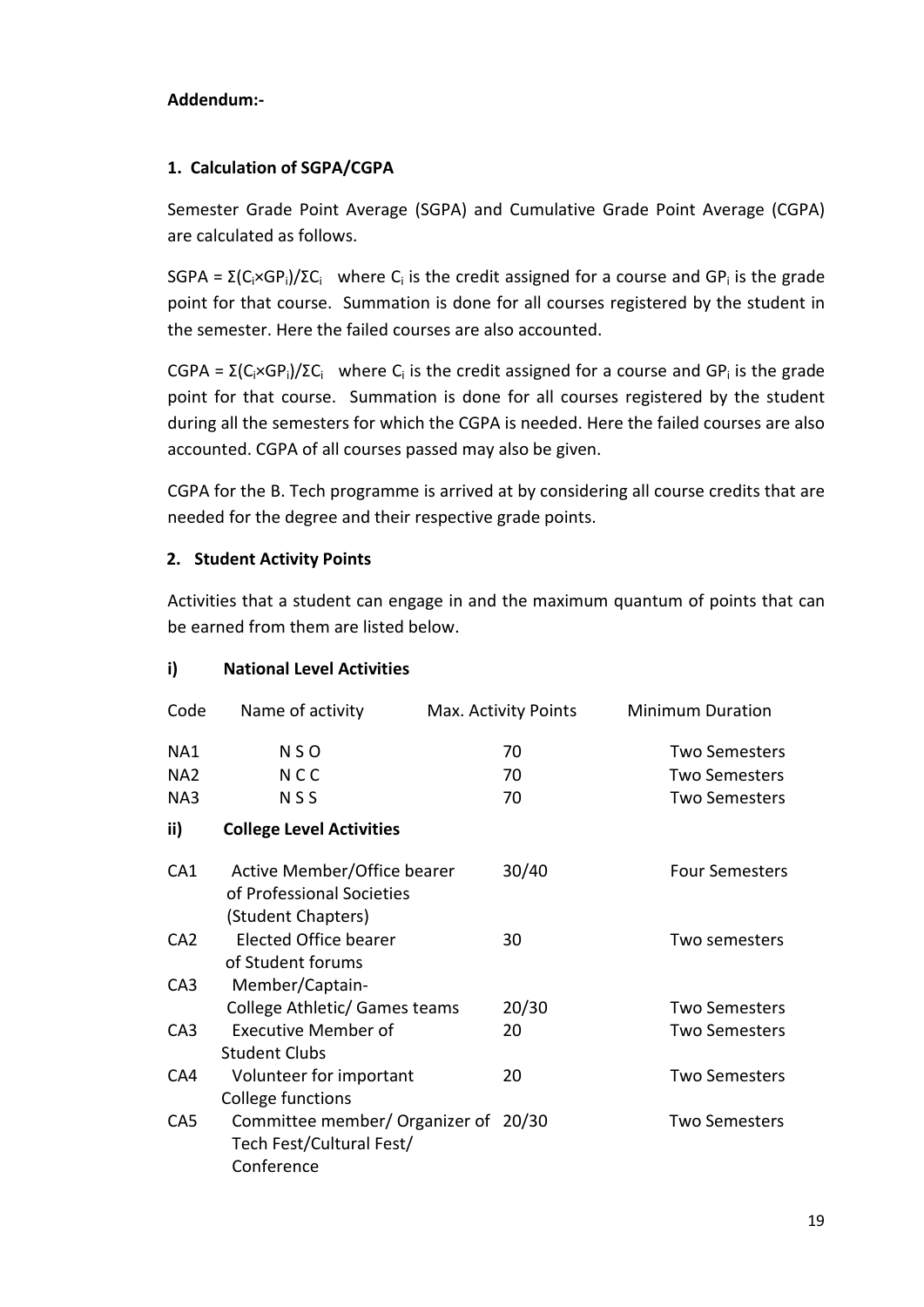### Addendum:-

## 1. Calculation of SGPA/CGPA

Semester Grade Point Average (SGPA) and Cumulative Grade Point Average (CGPA) are calculated as follows.

SGPA =  $\Sigma$ (C<sub>i</sub>×GP<sub>i</sub>)/ΣC<sub>i</sub> where C<sub>i</sub> is the credit assigned for a course and GP<sub>i</sub> is the grade point for that course. Summation is done for all courses registered by the student in the semester. Here the failed courses are also accounted.

CGPA =  $\Sigma$ (C<sub>i</sub>×GP<sub>i</sub>)/ΣC<sub>i</sub> where C<sub>i</sub> is the credit assigned for a course and GP<sub>i</sub> is the grade point for that course. Summation is done for all courses registered by the student during all the semesters for which the CGPA is needed. Here the failed courses are also accounted. CGPA of all courses passed may also be given.

CGPA for the B. Tech programme is arrived at by considering all course credits that are needed for the degree and their respective grade points.

# 2. Student Activity Points

Activities that a student can engage in and the maximum quantum of points that can be earned from them are listed below.

# i) National Level Activities

| Code            | Name of activity                                                               | Max. Activity Points | <b>Minimum Duration</b> |
|-----------------|--------------------------------------------------------------------------------|----------------------|-------------------------|
| NA1             | <b>NSO</b>                                                                     | 70                   | <b>Two Semesters</b>    |
| NA <sub>2</sub> | <b>NCC</b>                                                                     | 70                   | <b>Two Semesters</b>    |
| NA3             | <b>NSS</b>                                                                     | 70                   | <b>Two Semesters</b>    |
| ii)             | <b>College Level Activities</b>                                                |                      |                         |
| CA <sub>1</sub> | Active Member/Office bearer<br>of Professional Societies<br>(Student Chapters) | 30/40                | <b>Four Semesters</b>   |
| CA <sub>2</sub> | <b>Elected Office bearer</b><br>of Student forums                              | 30                   | Two semesters           |
| CA <sub>3</sub> | Member/Captain-                                                                |                      |                         |
|                 | College Athletic/ Games teams                                                  | 20/30                | <b>Two Semesters</b>    |
| CA <sub>3</sub> | <b>Executive Member of</b><br><b>Student Clubs</b>                             | 20                   | <b>Two Semesters</b>    |
| CA4             | Volunteer for important<br>College functions                                   | 20                   | <b>Two Semesters</b>    |
| CA <sub>5</sub> | Committee member/ Organizer of 20/30<br>Tech Fest/Cultural Fest/<br>Conference |                      | <b>Two Semesters</b>    |